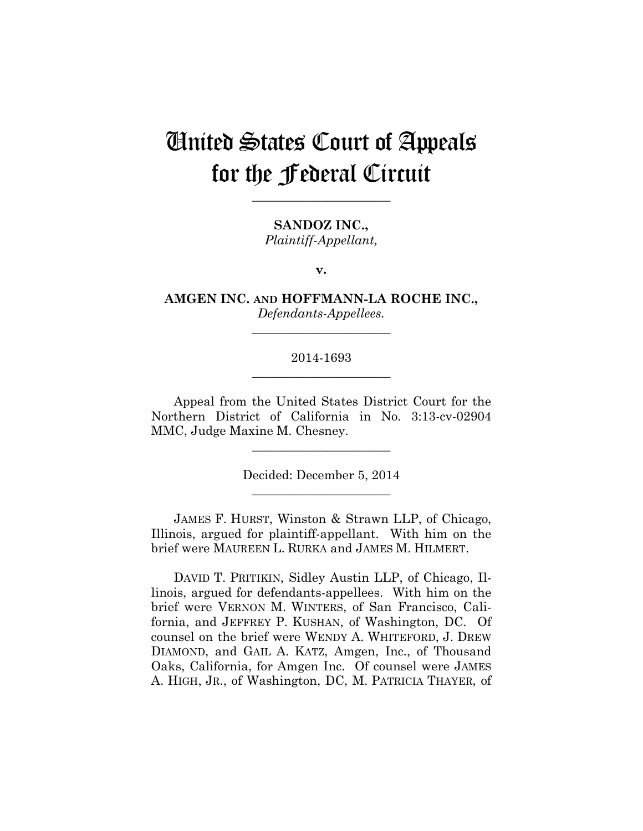# United States Court of Appeals for the Federal Circuit

**\_\_\_\_\_\_\_\_\_\_\_\_\_\_\_\_\_\_\_\_\_\_** 

**SANDOZ INC.,** *Plaintiff-Appellant,*

**v.**

**AMGEN INC. AND HOFFMANN-LA ROCHE INC.,** *Defendants-Appellees.*

**\_\_\_\_\_\_\_\_\_\_\_\_\_\_\_\_\_\_\_\_\_\_** 

# 2014-1693 **\_\_\_\_\_\_\_\_\_\_\_\_\_\_\_\_\_\_\_\_\_\_**

Appeal from the United States District Court for the Northern District of California in No. 3:13-cv-02904 MMC, Judge Maxine M. Chesney.

> Decided: December 5, 2014 **\_\_\_\_\_\_\_\_\_\_\_\_\_\_\_\_\_\_\_\_\_\_**

**\_\_\_\_\_\_\_\_\_\_\_\_\_\_\_\_\_\_\_\_\_\_** 

JAMES F. HURST, Winston & Strawn LLP, of Chicago, Illinois, argued for plaintiff-appellant. With him on the brief were MAUREEN L. RURKA and JAMES M. HILMERT.

DAVID T. PRITIKIN, Sidley Austin LLP, of Chicago, Illinois, argued for defendants-appellees. With him on the brief were VERNON M. WINTERS, of San Francisco, California, and JEFFREY P. KUSHAN, of Washington, DC. Of counsel on the brief were WENDY A. WHITEFORD, J. DREW DIAMOND, and GAIL A. KATZ, Amgen, Inc., of Thousand Oaks, California, for Amgen Inc. Of counsel were JAMES A. HIGH, JR., of Washington, DC, M. PATRICIA THAYER, of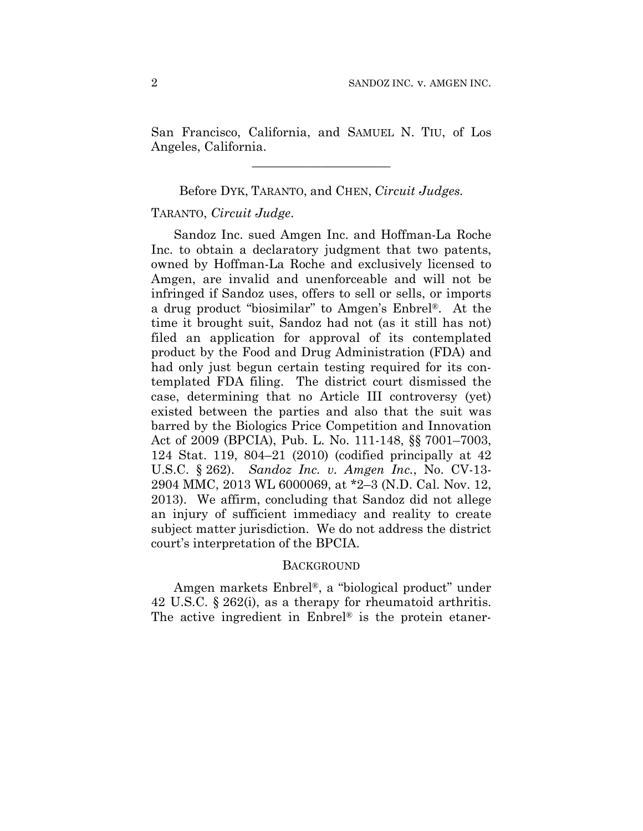San Francisco, California, and SAMUEL N. TIU, of Los Angeles, California.

**\_\_\_\_\_\_\_\_\_\_\_\_\_\_\_\_\_\_\_\_\_\_** 

### Before DYK, TARANTO, and CHEN, *Circuit Judges.*

### TARANTO, *Circuit Judge*.

Sandoz Inc. sued Amgen Inc. and Hoffman-La Roche Inc. to obtain a declaratory judgment that two patents, owned by Hoffman-La Roche and exclusively licensed to Amgen, are invalid and unenforceable and will not be infringed if Sandoz uses, offers to sell or sells, or imports a drug product "biosimilar" to Amgen's Enbrel®. At the time it brought suit, Sandoz had not (as it still has not) filed an application for approval of its contemplated product by the Food and Drug Administration (FDA) and had only just begun certain testing required for its contemplated FDA filing. The district court dismissed the case, determining that no Article III controversy (yet) existed between the parties and also that the suit was barred by the Biologics Price Competition and Innovation Act of 2009 (BPCIA), Pub. L. No. 111-148, §§ 7001–7003, 124 Stat. 119, 804–21 (2010) (codified principally at 42 U.S.C. § 262). *Sandoz Inc. v. Amgen Inc.*, No. CV-13- 2904 MMC, 2013 WL 6000069, at \*2–3 (N.D. Cal. Nov. 12, 2013). We affirm, concluding that Sandoz did not allege an injury of sufficient immediacy and reality to create subject matter jurisdiction. We do not address the district court's interpretation of the BPCIA.

#### **BACKGROUND**

Amgen markets Enbrel®, a "biological product" under 42 U.S.C. § 262(i), as a therapy for rheumatoid arthritis. The active ingredient in Enbrel® is the protein etaner-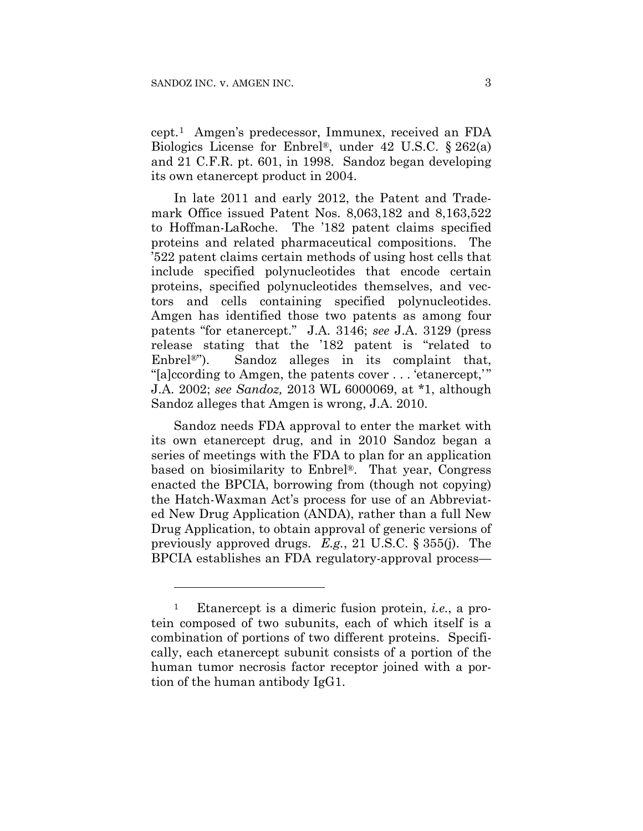1

cept.1 Amgen's predecessor, Immunex, received an FDA Biologics License for Enbrel®, under 42 U.S.C. § 262(a) and 21 C.F.R. pt. 601, in 1998. Sandoz began developing its own etanercept product in 2004.

In late 2011 and early 2012, the Patent and Trademark Office issued Patent Nos. 8,063,182 and 8,163,522 to Hoffman-LaRoche. The '182 patent claims specified proteins and related pharmaceutical compositions. The '522 patent claims certain methods of using host cells that include specified polynucleotides that encode certain proteins, specified polynucleotides themselves, and vectors and cells containing specified polynucleotides. Amgen has identified those two patents as among four patents "for etanercept." J.A. 3146; *see* J.A. 3129 (press release stating that the '182 patent is "related to Enbrel<sup>®</sup>"). Sandoz alleges in its complaint that, "[a]ccording to Amgen, the patents cover . . . 'etanercept,' " J.A. 2002; *see Sandoz,* 2013 WL 6000069, at \*1, although Sandoz alleges that Amgen is wrong, J.A. 2010.

Sandoz needs FDA approval to enter the market with its own etanercept drug, and in 2010 Sandoz began a series of meetings with the FDA to plan for an application based on biosimilarity to Enbrel®. That year, Congress enacted the BPCIA, borrowing from (though not copying) the Hatch-Waxman Act's process for use of an Abbreviated New Drug Application (ANDA), rather than a full New Drug Application, to obtain approval of generic versions of previously approved drugs. *E.g.*, 21 U.S.C. § 355(j). The BPCIA establishes an FDA regulatory-approval process—

<sup>1</sup> Etanercept is a dimeric fusion protein, *i.e.*, a protein composed of two subunits, each of which itself is a combination of portions of two different proteins. Specifically, each etanercept subunit consists of a portion of the human tumor necrosis factor receptor joined with a portion of the human antibody IgG1.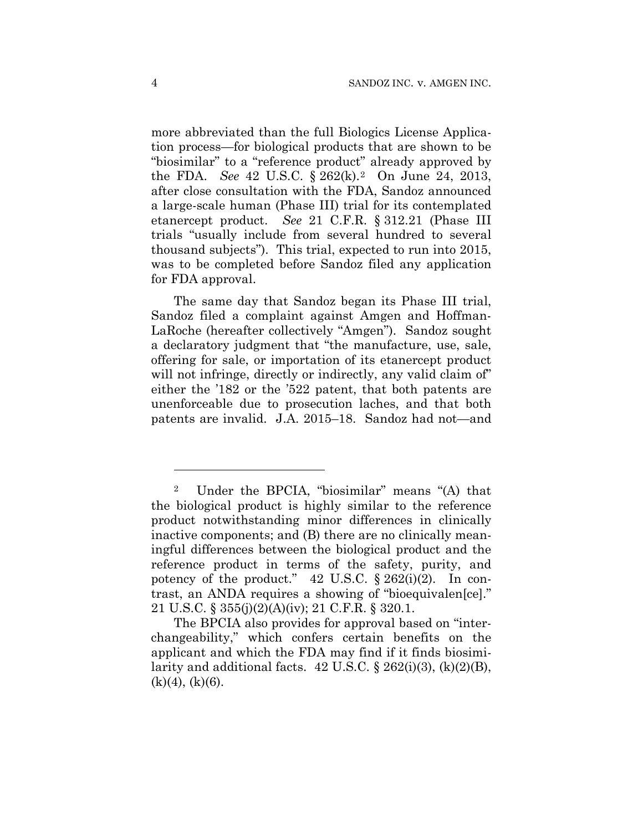more abbreviated than the full Biologics License Application process—for biological products that are shown to be "biosimilar" to a "reference product" already approved by the FDA. *See* 42 U.S.C. § 262(k).2 On June 24, 2013, after close consultation with the FDA, Sandoz announced a large-scale human (Phase III) trial for its contemplated etanercept product. *See* 21 C.F.R. § 312.21 (Phase III trials "usually include from several hundred to several thousand subjects"). This trial, expected to run into 2015, was to be completed before Sandoz filed any application for FDA approval.

The same day that Sandoz began its Phase III trial, Sandoz filed a complaint against Amgen and Hoffman-LaRoche (hereafter collectively "Amgen"). Sandoz sought a declaratory judgment that "the manufacture, use, sale, offering for sale, or importation of its etanercept product will not infringe, directly or indirectly, any valid claim of" either the '182 or the '522 patent, that both patents are unenforceable due to prosecution laches, and that both patents are invalid. J.A. 2015–18. Sandoz had not—and

1

<sup>2</sup> Under the BPCIA, "biosimilar" means "(A) that the biological product is highly similar to the reference product notwithstanding minor differences in clinically inactive components; and (B) there are no clinically meaningful differences between the biological product and the reference product in terms of the safety, purity, and potency of the product."  $42 \text{ U.S.C. } § 262(i)(2)$ . In contrast, an ANDA requires a showing of "bioequivalen[ce]." 21 U.S.C. § 355(j)(2)(A)(iv); 21 C.F.R. § 320.1.

The BPCIA also provides for approval based on "interchangeability," which confers certain benefits on the applicant and which the FDA may find if it finds biosimilarity and additional facts.  $42 \text{ U.S.C.}$  §  $262(i)(3)$ ,  $(k)(2)(B)$ ,  $(k)(4)$ ,  $(k)(6)$ .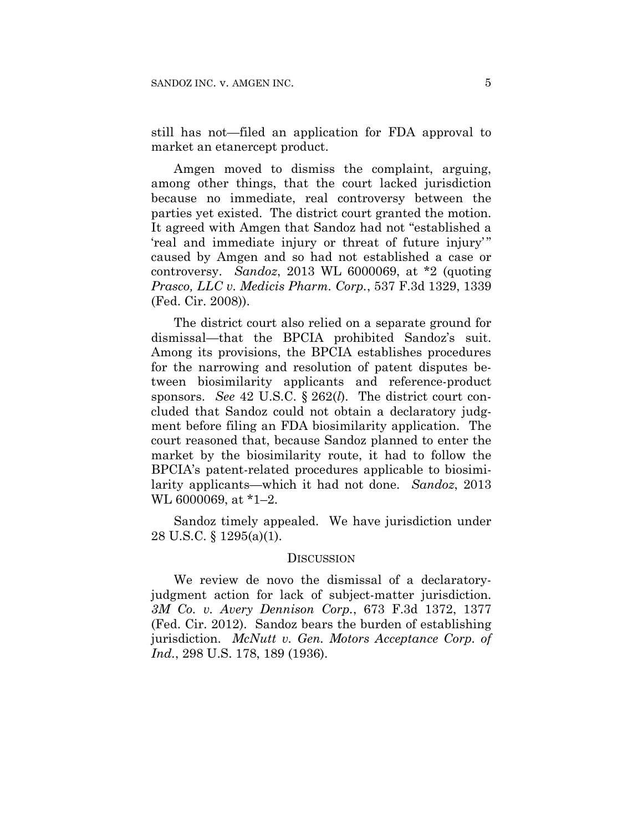still has not—filed an application for FDA approval to market an etanercept product.

Amgen moved to dismiss the complaint, arguing, among other things, that the court lacked jurisdiction because no immediate, real controversy between the parties yet existed. The district court granted the motion. It agreed with Amgen that Sandoz had not "established a 'real and immediate injury or threat of future injury'" caused by Amgen and so had not established a case or controversy. *Sandoz*, 2013 WL 6000069, at \*2 (quoting *Prasco, LLC v. Medicis Pharm. Corp.*, 537 F.3d 1329, 1339 (Fed. Cir. 2008)).

The district court also relied on a separate ground for dismissal—that the BPCIA prohibited Sandoz's suit. Among its provisions, the BPCIA establishes procedures for the narrowing and resolution of patent disputes between biosimilarity applicants and reference-product sponsors. *See* 42 U.S.C. § 262(*l*). The district court concluded that Sandoz could not obtain a declaratory judgment before filing an FDA biosimilarity application. The court reasoned that, because Sandoz planned to enter the market by the biosimilarity route, it had to follow the BPCIA's patent-related procedures applicable to biosimilarity applicants—which it had not done. *Sandoz*, 2013 WL 6000069, at \*1–2.

Sandoz timely appealed. We have jurisdiction under 28 U.S.C. § 1295(a)(1).

#### DISCUSSION

We review de novo the dismissal of a declaratoryjudgment action for lack of subject-matter jurisdiction. *3M Co. v. Avery Dennison Corp.*, 673 F.3d 1372, 1377 (Fed. Cir. 2012). Sandoz bears the burden of establishing jurisdiction. *McNutt v. Gen. Motors Acceptance Corp. of Ind.*, 298 U.S. 178, 189 (1936).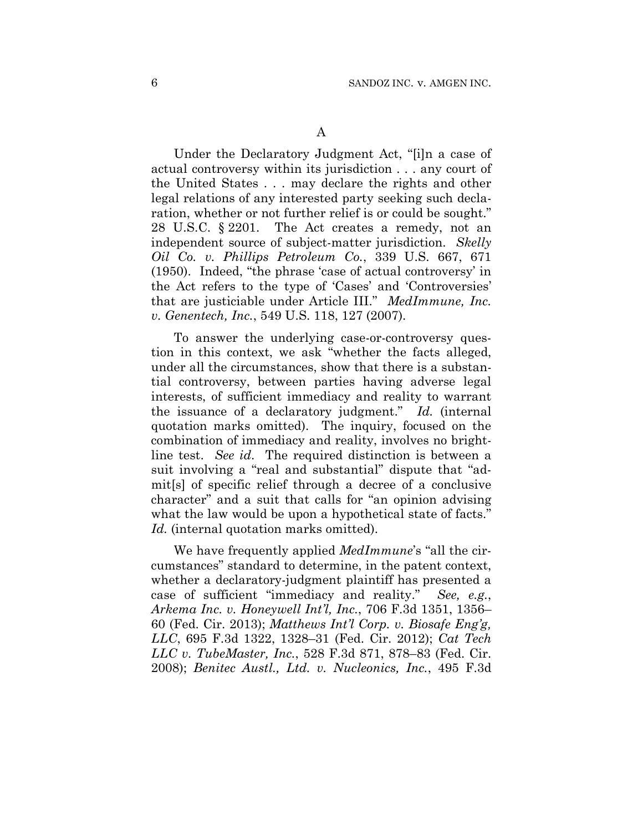Under the Declaratory Judgment Act, "[i]n a case of actual controversy within its jurisdiction . . . any court of the United States . . . may declare the rights and other legal relations of any interested party seeking such declaration, whether or not further relief is or could be sought." 28 U.S.C. § 2201. The Act creates a remedy, not an independent source of subject-matter jurisdiction. *Skelly Oil Co. v. Phillips Petroleum Co.*, 339 U.S. 667, 671 (1950). Indeed, "the phrase 'case of actual controversy' in the Act refers to the type of 'Cases' and 'Controversies' that are justiciable under Article III." *MedImmune, Inc. v. Genentech, Inc.*, 549 U.S. 118, 127 (2007).

To answer the underlying case-or-controversy question in this context, we ask "whether the facts alleged, under all the circumstances, show that there is a substantial controversy, between parties having adverse legal interests, of sufficient immediacy and reality to warrant the issuance of a declaratory judgment." *Id.* (internal quotation marks omitted). The inquiry, focused on the combination of immediacy and reality, involves no brightline test. *See id*. The required distinction is between a suit involving a "real and substantial" dispute that "admit[s] of specific relief through a decree of a conclusive character" and a suit that calls for "an opinion advising what the law would be upon a hypothetical state of facts." *Id.* (internal quotation marks omitted).

We have frequently applied *MedImmune*'s "all the circumstances" standard to determine, in the patent context, whether a declaratory-judgment plaintiff has presented a case of sufficient "immediacy and reality." *See, e.g.*, *Arkema Inc. v. Honeywell Int'l, Inc.*, 706 F.3d 1351, 1356– 60 (Fed. Cir. 2013); *Matthews Int'l Corp. v. Biosafe Eng'g, LLC*, 695 F.3d 1322, 1328–31 (Fed. Cir. 2012); *Cat Tech LLC v. TubeMaster, Inc.*, 528 F.3d 871, 878–83 (Fed. Cir. 2008); *Benitec Austl., Ltd. v. Nucleonics, Inc.*, 495 F.3d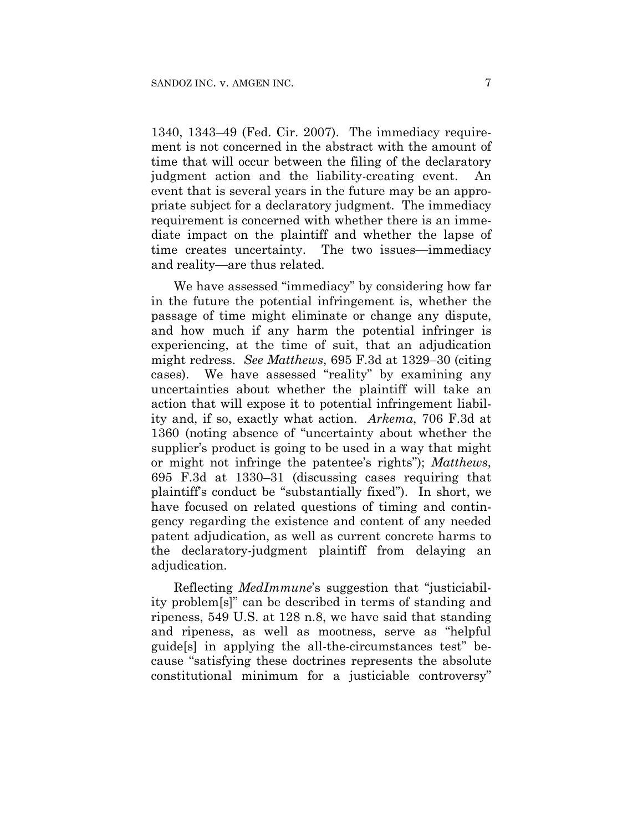1340, 1343–49 (Fed. Cir. 2007). The immediacy requirement is not concerned in the abstract with the amount of time that will occur between the filing of the declaratory judgment action and the liability-creating event. An event that is several years in the future may be an appropriate subject for a declaratory judgment. The immediacy requirement is concerned with whether there is an immediate impact on the plaintiff and whether the lapse of time creates uncertainty. The two issues—immediacy and reality—are thus related.

We have assessed "immediacy" by considering how far in the future the potential infringement is, whether the passage of time might eliminate or change any dispute, and how much if any harm the potential infringer is experiencing, at the time of suit, that an adjudication might redress. *See Matthews*, 695 F.3d at 1329–30 (citing cases). We have assessed "reality" by examining any uncertainties about whether the plaintiff will take an action that will expose it to potential infringement liability and, if so, exactly what action. *Arkema*, 706 F.3d at 1360 (noting absence of "uncertainty about whether the supplier's product is going to be used in a way that might or might not infringe the patentee's rights"); *Matthews*, 695 F.3d at 1330–31 (discussing cases requiring that plaintiff's conduct be "substantially fixed"). In short, we have focused on related questions of timing and contingency regarding the existence and content of any needed patent adjudication, as well as current concrete harms to the declaratory-judgment plaintiff from delaying an adjudication.

Reflecting *MedImmune*'s suggestion that "justiciability problem[s]" can be described in terms of standing and ripeness, 549 U.S. at 128 n.8, we have said that standing and ripeness, as well as mootness, serve as "helpful guide[s] in applying the all-the-circumstances test" because "satisfying these doctrines represents the absolute constitutional minimum for a justiciable controversy"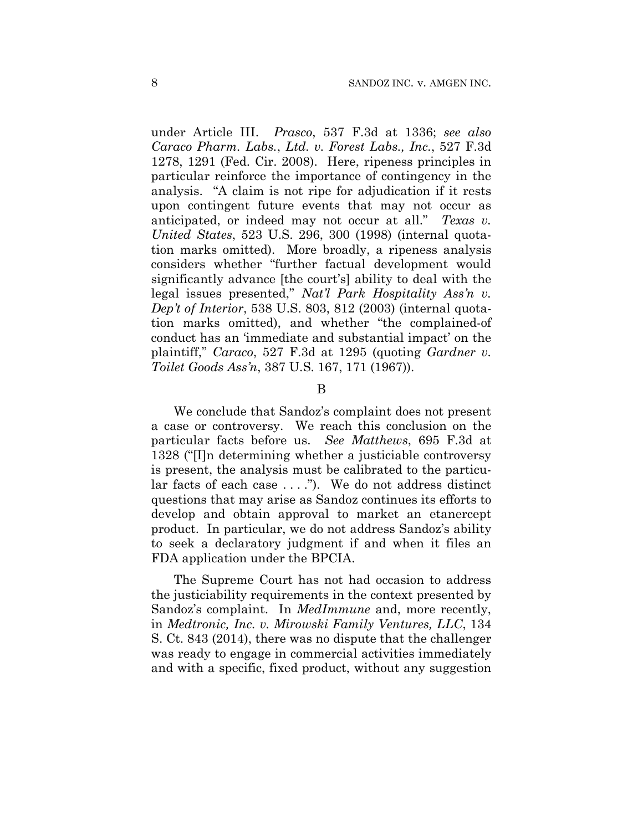under Article III. *Prasco*, 537 F.3d at 1336; *see also Caraco Pharm. Labs.*, *Ltd. v. Forest Labs., Inc.*, 527 F.3d 1278, 1291 (Fed. Cir. 2008). Here, ripeness principles in particular reinforce the importance of contingency in the analysis. "A claim is not ripe for adjudication if it rests upon contingent future events that may not occur as anticipated, or indeed may not occur at all." *Texas v. United States*, 523 U.S. 296, 300 (1998) (internal quotation marks omitted). More broadly, a ripeness analysis considers whether "further factual development would significantly advance [the court's] ability to deal with the legal issues presented," *Nat'l Park Hospitality Ass'n v. Dep't of Interior*, 538 U.S. 803, 812 (2003) (internal quotation marks omitted), and whether "the complained-of conduct has an 'immediate and substantial impact' on the plaintiff," *Caraco*, 527 F.3d at 1295 (quoting *Gardner v. Toilet Goods Ass'n*, 387 U.S. 167, 171 (1967)).

#### B

We conclude that Sandoz's complaint does not present a case or controversy. We reach this conclusion on the particular facts before us. *See Matthews*, 695 F.3d at 1328 ("[I]n determining whether a justiciable controversy is present, the analysis must be calibrated to the particular facts of each case . . . ."). We do not address distinct questions that may arise as Sandoz continues its efforts to develop and obtain approval to market an etanercept product. In particular, we do not address Sandoz's ability to seek a declaratory judgment if and when it files an FDA application under the BPCIA.

The Supreme Court has not had occasion to address the justiciability requirements in the context presented by Sandoz's complaint. In *MedImmune* and, more recently, in *Medtronic, Inc. v. Mirowski Family Ventures, LLC*, 134 S. Ct. 843 (2014), there was no dispute that the challenger was ready to engage in commercial activities immediately and with a specific, fixed product, without any suggestion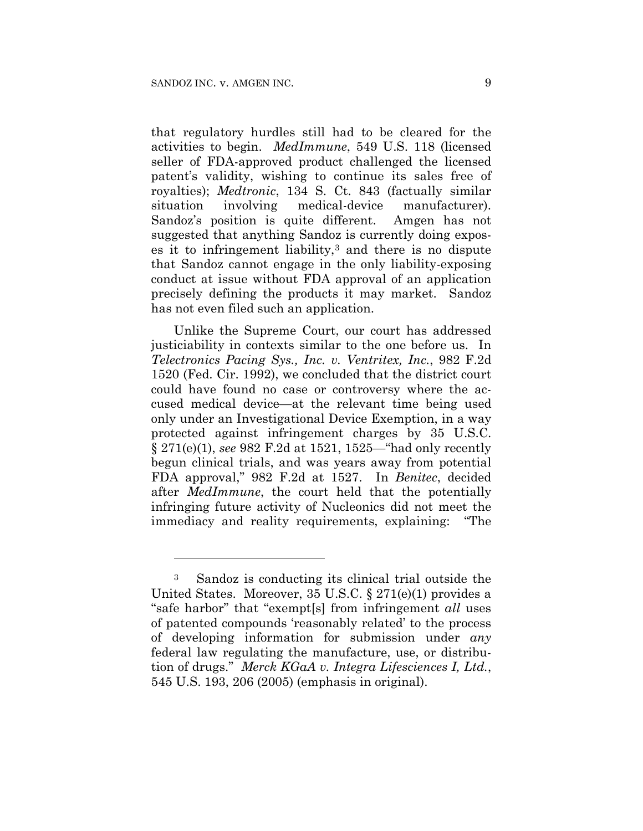1

that regulatory hurdles still had to be cleared for the activities to begin. *MedImmune*, 549 U.S. 118 (licensed seller of FDA-approved product challenged the licensed patent's validity, wishing to continue its sales free of royalties); *Medtronic*, 134 S. Ct. 843 (factually similar situation involving medical-device manufacturer). Sandoz's position is quite different. Amgen has not suggested that anything Sandoz is currently doing exposes it to infringement liability,<sup>3</sup> and there is no dispute that Sandoz cannot engage in the only liability-exposing conduct at issue without FDA approval of an application precisely defining the products it may market. Sandoz has not even filed such an application.

Unlike the Supreme Court, our court has addressed justiciability in contexts similar to the one before us. In *Telectronics Pacing Sys., Inc. v. Ventritex, Inc.*, 982 F.2d 1520 (Fed. Cir. 1992), we concluded that the district court could have found no case or controversy where the accused medical device—at the relevant time being used only under an Investigational Device Exemption, in a way protected against infringement charges by 35 U.S.C. § 271(e)(1), *see* 982 F.2d at 1521, 1525—"had only recently begun clinical trials, and was years away from potential FDA approval," 982 F.2d at 1527. In *Benitec*, decided after *MedImmune*, the court held that the potentially infringing future activity of Nucleonics did not meet the immediacy and reality requirements, explaining: "The

<sup>3</sup> Sandoz is conducting its clinical trial outside the United States. Moreover, 35 U.S.C. § 271(e)(1) provides a "safe harbor" that "exempt[s] from infringement *all* uses of patented compounds 'reasonably related' to the process of developing information for submission under *any* federal law regulating the manufacture, use, or distribution of drugs." *Merck KGaA v. Integra Lifesciences I, Ltd.*, 545 U.S. 193, 206 (2005) (emphasis in original).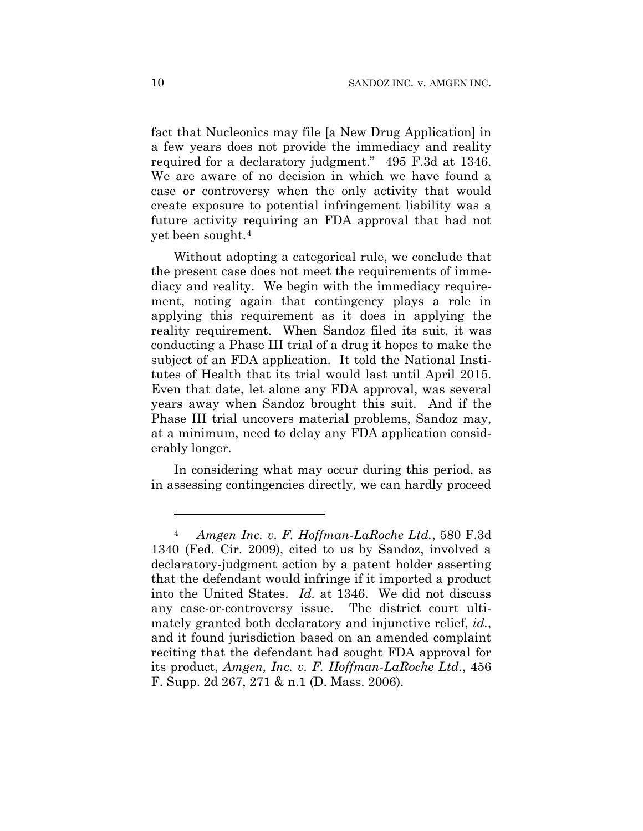fact that Nucleonics may file [a New Drug Application] in a few years does not provide the immediacy and reality required for a declaratory judgment." 495 F.3d at 1346. We are aware of no decision in which we have found a case or controversy when the only activity that would create exposure to potential infringement liability was a future activity requiring an FDA approval that had not yet been sought.4

Without adopting a categorical rule, we conclude that the present case does not meet the requirements of immediacy and reality. We begin with the immediacy requirement, noting again that contingency plays a role in applying this requirement as it does in applying the reality requirement. When Sandoz filed its suit, it was conducting a Phase III trial of a drug it hopes to make the subject of an FDA application. It told the National Institutes of Health that its trial would last until April 2015. Even that date, let alone any FDA approval, was several years away when Sandoz brought this suit. And if the Phase III trial uncovers material problems, Sandoz may, at a minimum, need to delay any FDA application considerably longer.

In considering what may occur during this period, as in assessing contingencies directly, we can hardly proceed

1

<sup>4</sup> *Amgen Inc. v. F. Hoffman-LaRoche Ltd.*, 580 F.3d 1340 (Fed. Cir. 2009), cited to us by Sandoz, involved a declaratory-judgment action by a patent holder asserting that the defendant would infringe if it imported a product into the United States. *Id.* at 1346. We did not discuss any case-or-controversy issue. The district court ultimately granted both declaratory and injunctive relief, *id.*, and it found jurisdiction based on an amended complaint reciting that the defendant had sought FDA approval for its product, *Amgen, Inc. v. F. Hoffman-LaRoche Ltd.*, 456 F. Supp. 2d 267, 271 & n.1 (D. Mass. 2006).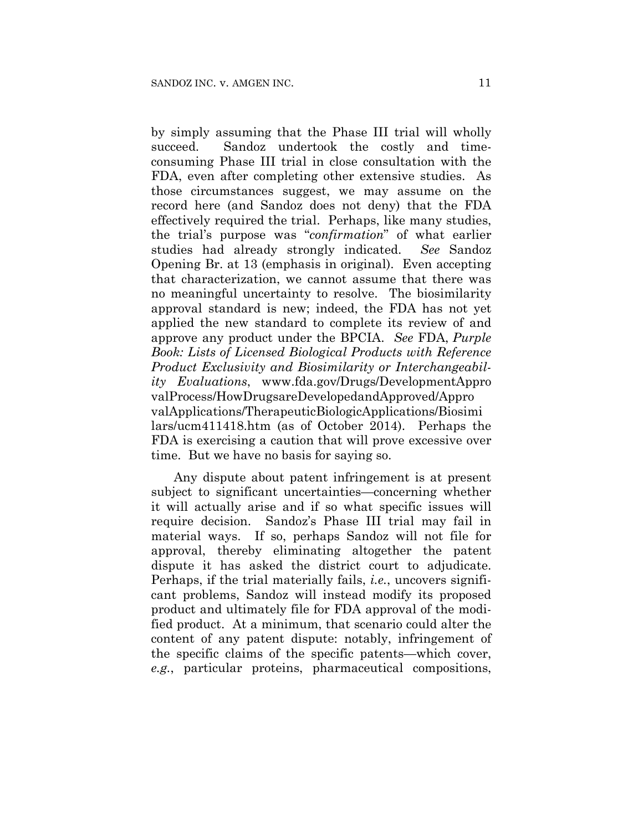by simply assuming that the Phase III trial will wholly succeed. Sandoz undertook the costly and timeconsuming Phase III trial in close consultation with the FDA, even after completing other extensive studies. As those circumstances suggest, we may assume on the record here (and Sandoz does not deny) that the FDA effectively required the trial. Perhaps, like many studies, the trial's purpose was "*confirmation*" of what earlier studies had already strongly indicated. *See* Sandoz Opening Br. at 13 (emphasis in original). Even accepting that characterization, we cannot assume that there was no meaningful uncertainty to resolve. The biosimilarity approval standard is new; indeed, the FDA has not yet applied the new standard to complete its review of and approve any product under the BPCIA. *See* FDA, *Purple Book: Lists of Licensed Biological Products with Reference Product Exclusivity and Biosimilarity or Interchangeability Evaluations*, www.fda.gov/Drugs/DevelopmentAppro valProcess/HowDrugsareDevelopedandApproved/Appro valApplications/TherapeuticBiologicApplications/Biosimi lars/ucm411418.htm (as of October 2014). Perhaps the FDA is exercising a caution that will prove excessive over time. But we have no basis for saying so.

Any dispute about patent infringement is at present subject to significant uncertainties—concerning whether it will actually arise and if so what specific issues will require decision. Sandoz's Phase III trial may fail in material ways. If so, perhaps Sandoz will not file for approval, thereby eliminating altogether the patent dispute it has asked the district court to adjudicate. Perhaps, if the trial materially fails, *i.e.*, uncovers significant problems, Sandoz will instead modify its proposed product and ultimately file for FDA approval of the modified product. At a minimum, that scenario could alter the content of any patent dispute: notably, infringement of the specific claims of the specific patents—which cover, *e.g.*, particular proteins, pharmaceutical compositions,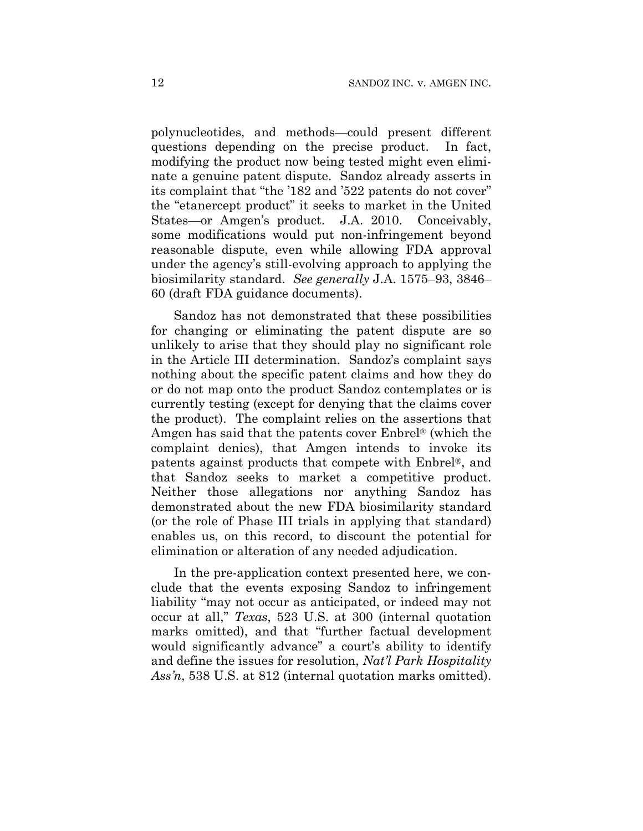polynucleotides, and methods—could present different questions depending on the precise product. In fact, modifying the product now being tested might even eliminate a genuine patent dispute. Sandoz already asserts in its complaint that "the '182 and '522 patents do not cover" the "etanercept product" it seeks to market in the United States—or Amgen's product. J.A. 2010. Conceivably, some modifications would put non-infringement beyond reasonable dispute, even while allowing FDA approval under the agency's still-evolving approach to applying the biosimilarity standard. *See generally* J.A. 1575–93, 3846– 60 (draft FDA guidance documents).

Sandoz has not demonstrated that these possibilities for changing or eliminating the patent dispute are so unlikely to arise that they should play no significant role in the Article III determination. Sandoz's complaint says nothing about the specific patent claims and how they do or do not map onto the product Sandoz contemplates or is currently testing (except for denying that the claims cover the product). The complaint relies on the assertions that Amgen has said that the patents cover Enbrel® (which the complaint denies), that Amgen intends to invoke its patents against products that compete with Enbrel®, and that Sandoz seeks to market a competitive product. Neither those allegations nor anything Sandoz has demonstrated about the new FDA biosimilarity standard (or the role of Phase III trials in applying that standard) enables us, on this record, to discount the potential for elimination or alteration of any needed adjudication.

In the pre-application context presented here, we conclude that the events exposing Sandoz to infringement liability "may not occur as anticipated, or indeed may not occur at all," *Texas*, 523 U.S. at 300 (internal quotation marks omitted), and that "further factual development would significantly advance" a court's ability to identify and define the issues for resolution, *Nat'l Park Hospitality Ass'n*, 538 U.S. at 812 (internal quotation marks omitted).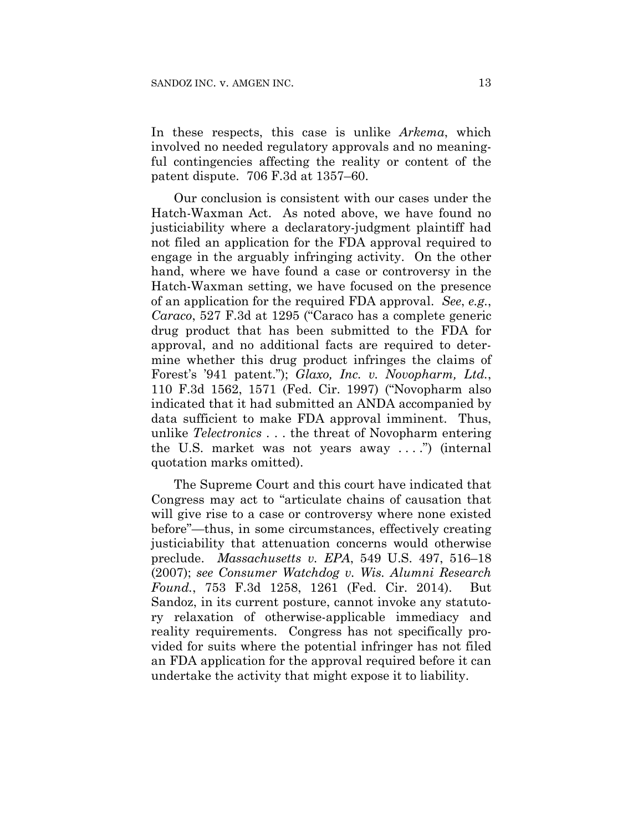In these respects, this case is unlike *Arkema*, which involved no needed regulatory approvals and no meaningful contingencies affecting the reality or content of the patent dispute. 706 F.3d at 1357–60.

Our conclusion is consistent with our cases under the Hatch-Waxman Act. As noted above, we have found no justiciability where a declaratory-judgment plaintiff had not filed an application for the FDA approval required to engage in the arguably infringing activity. On the other hand, where we have found a case or controversy in the Hatch-Waxman setting, we have focused on the presence of an application for the required FDA approval. *See*, *e.g.*, *Caraco*, 527 F.3d at 1295 ("Caraco has a complete generic drug product that has been submitted to the FDA for approval, and no additional facts are required to determine whether this drug product infringes the claims of Forest's '941 patent."); *Glaxo, Inc. v. Novopharm, Ltd.*, 110 F.3d 1562, 1571 (Fed. Cir. 1997) ("Novopharm also indicated that it had submitted an ANDA accompanied by data sufficient to make FDA approval imminent. Thus, unlike *Telectronics* . . . the threat of Novopharm entering the U.S. market was not years away . . . .") (internal quotation marks omitted).

The Supreme Court and this court have indicated that Congress may act to "articulate chains of causation that will give rise to a case or controversy where none existed before"—thus, in some circumstances, effectively creating justiciability that attenuation concerns would otherwise preclude. *Massachusetts v. EPA*, 549 U.S. 497, 516–18 (2007); *see Consumer Watchdog v. Wis. Alumni Research Found.*, 753 F.3d 1258, 1261 (Fed. Cir. 2014). But Sandoz, in its current posture, cannot invoke any statutory relaxation of otherwise-applicable immediacy and reality requirements. Congress has not specifically provided for suits where the potential infringer has not filed an FDA application for the approval required before it can undertake the activity that might expose it to liability.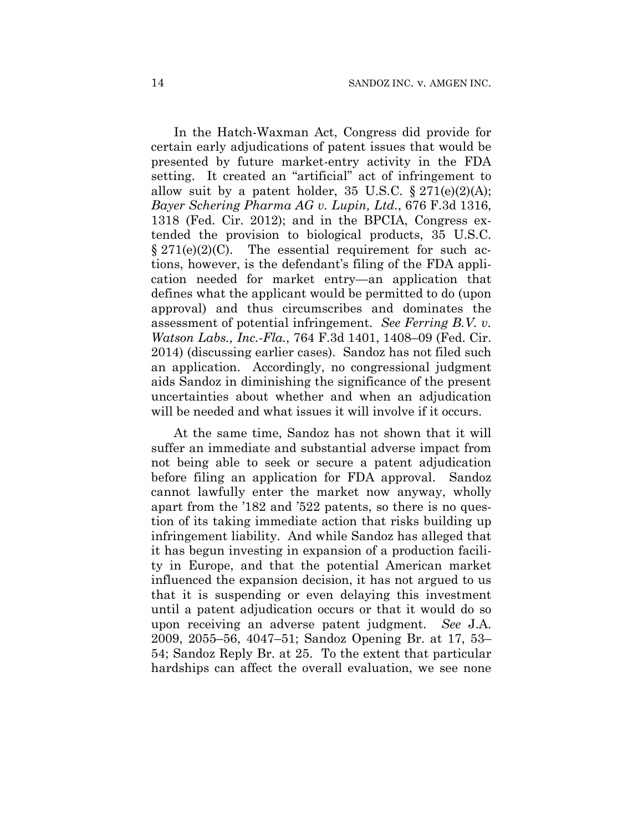In the Hatch-Waxman Act, Congress did provide for certain early adjudications of patent issues that would be presented by future market-entry activity in the FDA setting. It created an "artificial" act of infringement to allow suit by a patent holder, 35 U.S.C.  $\S 271(e)(2)(A);$ *Bayer Schering Pharma AG v. Lupin, Ltd.*, 676 F.3d 1316, 1318 (Fed. Cir. 2012); and in the BPCIA, Congress extended the provision to biological products, 35 U.S.C.  $\S 271(e)(2)(C)$ . The essential requirement for such actions, however, is the defendant's filing of the FDA application needed for market entry—an application that defines what the applicant would be permitted to do (upon approval) and thus circumscribes and dominates the assessment of potential infringement. *See Ferring B.V. v. Watson Labs., Inc.-Fla.*, 764 F.3d 1401, 1408–09 (Fed. Cir. 2014) (discussing earlier cases). Sandoz has not filed such an application. Accordingly, no congressional judgment aids Sandoz in diminishing the significance of the present uncertainties about whether and when an adjudication will be needed and what issues it will involve if it occurs.

At the same time, Sandoz has not shown that it will suffer an immediate and substantial adverse impact from not being able to seek or secure a patent adjudication before filing an application for FDA approval. Sandoz cannot lawfully enter the market now anyway, wholly apart from the '182 and '522 patents, so there is no question of its taking immediate action that risks building up infringement liability. And while Sandoz has alleged that it has begun investing in expansion of a production facility in Europe, and that the potential American market influenced the expansion decision, it has not argued to us that it is suspending or even delaying this investment until a patent adjudication occurs or that it would do so upon receiving an adverse patent judgment. *See* J.A. 2009, 2055–56, 4047–51; Sandoz Opening Br. at 17, 53– 54; Sandoz Reply Br. at 25. To the extent that particular hardships can affect the overall evaluation, we see none